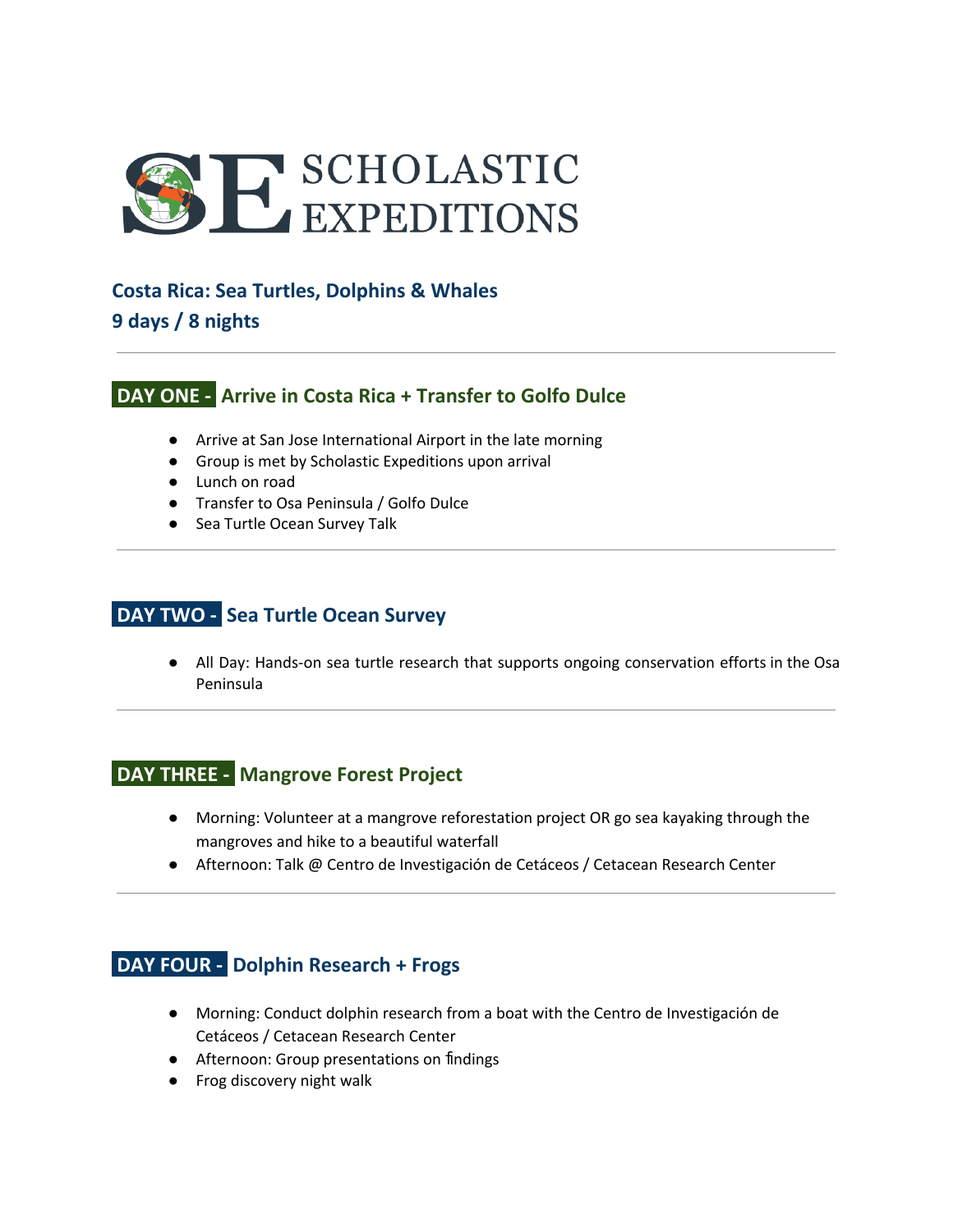

#### **Costa Rica: Sea Turtles, Dolphins & Whales**

**9 days / 8 nights**

## **DAY ONE - Arrive in Costa Rica + Transfer to Golfo Dulce**

- Arrive at San Jose International Airport in the late morning
- Group is met by Scholastic Expeditions upon arrival
- Lunch on road
- Transfer to Osa Peninsula / Golfo Dulce
- Sea Turtle Ocean Survey Talk

## **DAY TWO - Sea Turtle Ocean Survey**

● All Day: Hands-on sea turtle research that supports ongoing conservation efforts in the Osa Peninsula

## **DAY THREE - Mangrove Forest Project**

- Morning: Volunteer at a mangrove reforestation project OR go sea kayaking through the mangroves and hike to a beautiful waterfall
- Afternoon: Talk @ Centro de Investigación de Cetáceos / Cetacean Research Center

## **DAY FOUR - Dolphin Research + Frogs**

- Morning: Conduct dolphin research from a boat with the Centro de Investigación de Cetáceos / Cetacean Research Center
- Afternoon: Group presentations on findings
- Frog discovery night walk